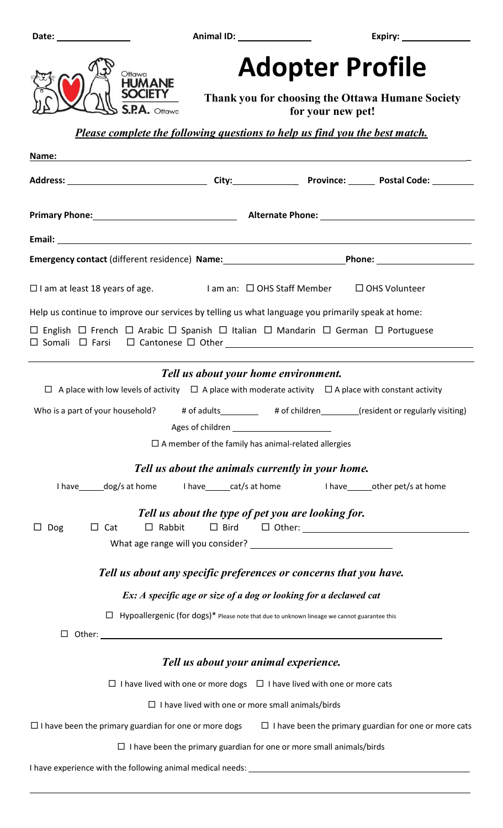

## **Adopter Profile**

 **Thank you for choosing the Ottawa Humane Society** 

 **for your new pet!** 

 *Please complete the following questions to help us find you the best match.* 

| Name:                                                                                                                  |                                                               |  |                                                              |
|------------------------------------------------------------------------------------------------------------------------|---------------------------------------------------------------|--|--------------------------------------------------------------|
|                                                                                                                        |                                                               |  |                                                              |
|                                                                                                                        |                                                               |  |                                                              |
|                                                                                                                        |                                                               |  |                                                              |
| Emergency contact (different residence) Name: _________________________________Phone: _______________________          |                                                               |  |                                                              |
| $\Box$ I am at least 18 years of age. I am an: $\Box$ OHS Staff Member $\Box$ OHS Volunteer                            |                                                               |  |                                                              |
| Help us continue to improve our services by telling us what language you primarily speak at home:                      |                                                               |  |                                                              |
| □ English □ French □ Arabic □ Spanish □ Italian □ Mandarin □ German □ Portuguese                                       |                                                               |  |                                                              |
|                                                                                                                        | Tell us about your home environment.                          |  |                                                              |
| $\Box$ A place with low levels of activity $\Box$ A place with moderate activity $\Box$ A place with constant activity |                                                               |  |                                                              |
| Who is a part of your household? # of adults_________ # of children______(resident or regularly visiting)              |                                                               |  |                                                              |
|                                                                                                                        | Ages of children ____________________________                 |  |                                                              |
|                                                                                                                        | $\square$ A member of the family has animal-related allergies |  |                                                              |
| Tell us about the animals currently in your home.                                                                      |                                                               |  |                                                              |
| I have ______ dog/s at home lhave ______ cat/s at home lhave ______ other pet/s at home                                |                                                               |  |                                                              |
|                                                                                                                        | Tell us about the type of pet you are looking for.            |  |                                                              |
| Dog<br>$\Box$ Cat<br>$\Box$ Rabbit                                                                                     | $\Box$ Bird                                                   |  |                                                              |
|                                                                                                                        |                                                               |  |                                                              |
| Tell us about any specific preferences or concerns that you have.                                                      |                                                               |  |                                                              |
| Ex: A specific age or size of a dog or looking for a declawed cat                                                      |                                                               |  |                                                              |
| $\Box$ Hypoallergenic (for dogs)* Please note that due to unknown lineage we cannot guarantee this                     |                                                               |  |                                                              |
| $\Box$                                                                                                                 |                                                               |  |                                                              |
|                                                                                                                        |                                                               |  |                                                              |
|                                                                                                                        | Tell us about your animal experience.                         |  |                                                              |
| $\Box$ I have lived with one or more dogs $\Box$ I have lived with one or more cats                                    |                                                               |  |                                                              |
|                                                                                                                        | $\Box$ I have lived with one or more small animals/birds      |  |                                                              |
| $\Box$ I have been the primary guardian for one or more dogs                                                           |                                                               |  | $\Box$ I have been the primary guardian for one or more cats |
| $\Box$ I have been the primary guardian for one or more small animals/birds                                            |                                                               |  |                                                              |
| I have experience with the following animal medical needs: [198] [198] [198] [198] [198] [198] [198] [198] [19         |                                                               |  |                                                              |
|                                                                                                                        |                                                               |  |                                                              |